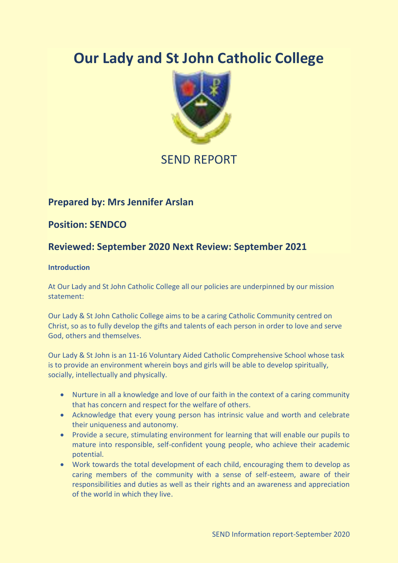# **Our Lady and St John Catholic College**



# SEND REPORT

### **Prepared by: Mrs Jennifer Arslan**

**Position: SENDCO**

## **Reviewed: September 2020 Next Review: September 2021**

#### **Introduction**

At Our Lady and St John Catholic College all our policies are underpinned by our mission statement:

Our Lady & St John Catholic College aims to be a caring Catholic Community centred on Christ, so as to fully develop the gifts and talents of each person in order to love and serve God, others and themselves.

Our Lady & St John is an 11-16 Voluntary Aided Catholic Comprehensive School whose task is to provide an environment wherein boys and girls will be able to develop spiritually, socially, intellectually and physically.

- Nurture in all a knowledge and love of our faith in the context of a caring community that has concern and respect for the welfare of others.
- Acknowledge that every young person has intrinsic value and worth and celebrate their uniqueness and autonomy.
- Provide a secure, stimulating environment for learning that will enable our pupils to mature into responsible, self-confident young people, who achieve their academic potential.
- Work towards the total development of each child, encouraging them to develop as caring members of the community with a sense of self-esteem, aware of their responsibilities and duties as well as their rights and an awareness and appreciation of the world in which they live.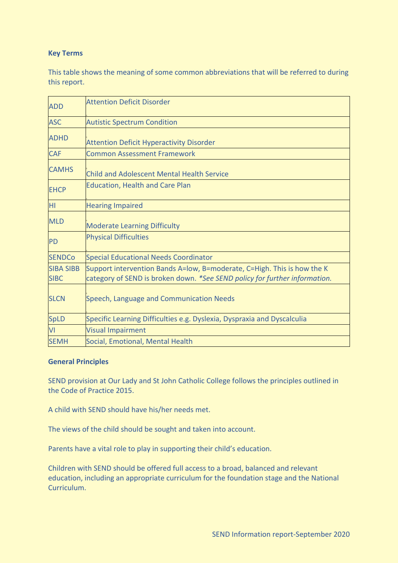#### **Key Terms**

This table shows the meaning of some common abbreviations that will be referred to during this report.

| <b>ADD</b>                      | <b>Attention Deficit Disorder</b>                                                                                                                     |
|---------------------------------|-------------------------------------------------------------------------------------------------------------------------------------------------------|
| <b>ASC</b>                      | <b>Autistic Spectrum Condition</b>                                                                                                                    |
| <b>ADHD</b>                     | <b>Attention Deficit Hyperactivity Disorder</b>                                                                                                       |
| <b>CAF</b>                      | <b>Common Assessment Framework</b>                                                                                                                    |
| <b>CAMHS</b>                    | <b>Child and Adolescent Mental Health Service</b>                                                                                                     |
| <b>EHCP</b>                     | <b>Education, Health and Care Plan</b>                                                                                                                |
| HI.                             | <b>Hearing Impaired</b>                                                                                                                               |
| <b>MLD</b>                      | <b>Moderate Learning Difficulty</b>                                                                                                                   |
| <b>PD</b>                       | <b>Physical Difficulties</b>                                                                                                                          |
| <b>SENDCo</b>                   | <b>Special Educational Needs Coordinator</b>                                                                                                          |
| <b>SIBA SIBB</b><br><b>SIBC</b> | Support intervention Bands A=low, B=moderate, C=High. This is how the K<br>category of SEND is broken down. *See SEND policy for further information. |
| <b>SLCN</b>                     | Speech, Language and Communication Needs                                                                                                              |
| <b>SpLD</b>                     | Specific Learning Difficulties e.g. Dyslexia, Dyspraxia and Dyscalculia                                                                               |
| VI                              | <b>Visual Impairment</b>                                                                                                                              |
| <b>SEMH</b>                     | Social, Emotional, Mental Health                                                                                                                      |

#### **General Principles**

SEND provision at Our Lady and St John Catholic College follows the principles outlined in the Code of Practice 2015.

A child with SEND should have his/her needs met.

The views of the child should be sought and taken into account.

Parents have a vital role to play in supporting their child's education.

Children with SEND should be offered full access to a broad, balanced and relevant education, including an appropriate curriculum for the foundation stage and the National Curriculum.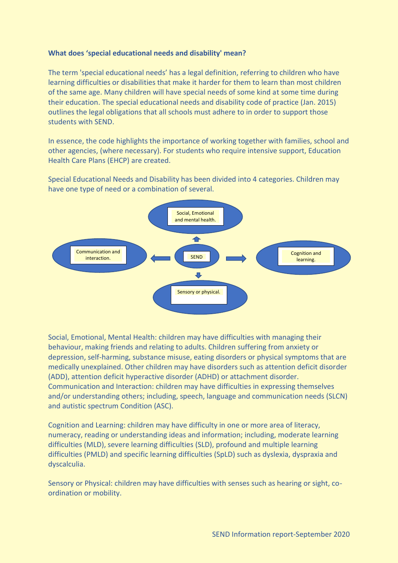#### **What does 'special educational needs and disability' mean?**

The term 'special educational needs' has a legal definition, referring to children who have learning difficulties or disabilities that make it harder for them to learn than most children of the same age. Many children will have special needs of some kind at some time during their education. The special educational needs and disability code of practice (Jan. 2015) outlines the legal obligations that all schools must adhere to in order to support those students with SEND.

In essence, the code highlights the importance of working together with families, school and other agencies, (where necessary). For students who require intensive support, Education Health Care Plans (EHCP) are created.

Special Educational Needs and Disability has been divided into 4 categories. Children may have one type of need or a combination of several.



Social, Emotional, Mental Health: children may have difficulties with managing their behaviour, making friends and relating to adults. Children suffering from anxiety or depression, self-harming, substance misuse, eating disorders or physical symptoms that are medically unexplained. Other children may have disorders such as attention deficit disorder (ADD), attention deficit hyperactive disorder (ADHD) or attachment disorder. Communication and Interaction: children may have difficulties in expressing themselves and/or understanding others; including, speech, language and communication needs (SLCN) and autistic spectrum Condition (ASC).

Cognition and Learning: children may have difficulty in one or more area of literacy, numeracy, reading or understanding ideas and information; including, moderate learning difficulties (MLD), severe learning difficulties (SLD), profound and multiple learning difficulties (PMLD) and specific learning difficulties (SpLD) such as dyslexia, dyspraxia and dyscalculia.

Sensory or Physical: children may have difficulties with senses such as hearing or sight, coordination or mobility.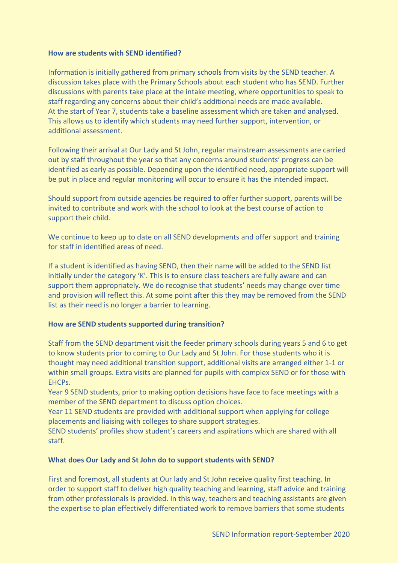#### **How are students with SEND identified?**

Information is initially gathered from primary schools from visits by the SEND teacher. A discussion takes place with the Primary Schools about each student who has SEND. Further discussions with parents take place at the intake meeting, where opportunities to speak to staff regarding any concerns about their child's additional needs are made available. At the start of Year 7, students take a baseline assessment which are taken and analysed. This allows us to identify which students may need further support, intervention, or additional assessment.

Following their arrival at Our Lady and St John, regular mainstream assessments are carried out by staff throughout the year so that any concerns around students' progress can be identified as early as possible. Depending upon the identified need, appropriate support will be put in place and regular monitoring will occur to ensure it has the intended impact.

Should support from outside agencies be required to offer further support, parents will be invited to contribute and work with the school to look at the best course of action to support their child.

We continue to keep up to date on all SEND developments and offer support and training for staff in identified areas of need.

If a student is identified as having SEND, then their name will be added to the SEND list initially under the category 'K'. This is to ensure class teachers are fully aware and can support them appropriately. We do recognise that students' needs may change over time and provision will reflect this. At some point after this they may be removed from the SEND list as their need is no longer a barrier to learning.

#### **How are SEND students supported during transition?**

Staff from the SEND department visit the feeder primary schools during years 5 and 6 to get to know students prior to coming to Our Lady and St John. For those students who it is thought may need additional transition support, additional visits are arranged either 1-1 or within small groups. Extra visits are planned for pupils with complex SEND or for those with EHCPs.

Year 9 SEND students, prior to making option decisions have face to face meetings with a member of the SEND department to discuss option choices.

Year 11 SEND students are provided with additional support when applying for college placements and liaising with colleges to share support strategies.

SEND students' profiles show student's careers and aspirations which are shared with all staff.

#### **What does Our Lady and St John do to support students with SEND?**

First and foremost, all students at Our lady and St John receive quality first teaching. In order to support staff to deliver high quality teaching and learning, staff advice and training from other professionals is provided. In this way, teachers and teaching assistants are given the expertise to plan effectively differentiated work to remove barriers that some students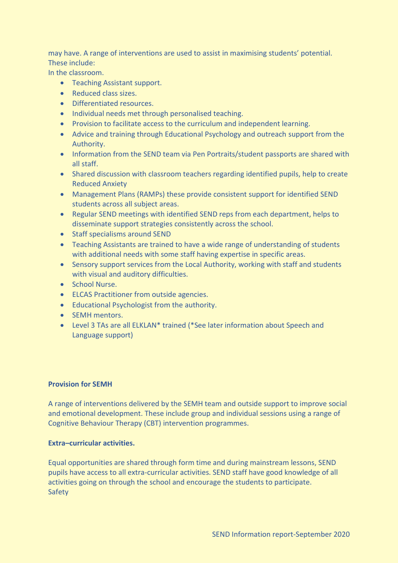may have. A range of interventions are used to assist in maximising students' potential. These include:

In the classroom.

- Teaching Assistant support.
- Reduced class sizes.
- Differentiated resources.
- Individual needs met through personalised teaching.
- Provision to facilitate access to the curriculum and independent learning.
- Advice and training through Educational Psychology and outreach support from the Authority.
- Information from the SEND team via Pen Portraits/student passports are shared with all staff.
- Shared discussion with classroom teachers regarding identified pupils, help to create Reduced Anxiety
- Management Plans (RAMPs) these provide consistent support for identified SEND students across all subject areas.
- Regular SEND meetings with identified SEND reps from each department, helps to disseminate support strategies consistently across the school.
- Staff specialisms around SEND
- Teaching Assistants are trained to have a wide range of understanding of students with additional needs with some staff having expertise in specific areas.
- Sensory support services from the Local Authority, working with staff and students with visual and auditory difficulties.
- School Nurse.
- ELCAS Practitioner from outside agencies.
- Educational Psychologist from the authority.
- SEMH mentors.
- Level 3 TAs are all ELKLAN\* trained (\*See later information about Speech and Language support)

#### **Provision for SEMH**

A range of interventions delivered by the SEMH team and outside support to improve social and emotional development. These include group and individual sessions using a range of Cognitive Behaviour Therapy (CBT) intervention programmes.

#### **Extra–curricular activities.**

Equal opportunities are shared through form time and during mainstream lessons, SEND pupils have access to all extra-curricular activities. SEND staff have good knowledge of all activities going on through the school and encourage the students to participate. Safety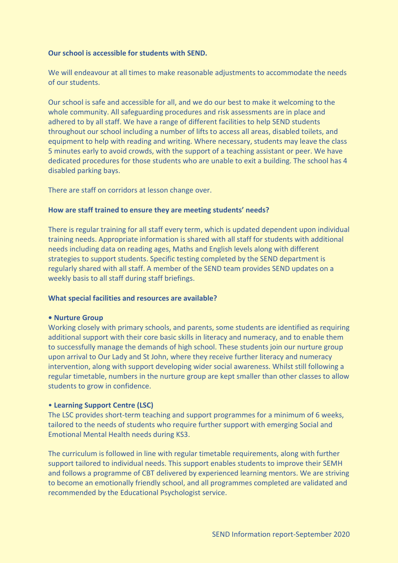#### **Our school is accessible for students with SEND.**

We will endeavour at all times to make reasonable adjustments to accommodate the needs of our students.

Our school is safe and accessible for all, and we do our best to make it welcoming to the whole community. All safeguarding procedures and risk assessments are in place and adhered to by all staff. We have a range of different facilities to help SEND students throughout our school including a number of lifts to access all areas, disabled toilets, and equipment to help with reading and writing. Where necessary, students may leave the class 5 minutes early to avoid crowds, with the support of a teaching assistant or peer. We have dedicated procedures for those students who are unable to exit a building. The school has 4 disabled parking bays.

There are staff on corridors at lesson change over.

#### **How are staff trained to ensure they are meeting students' needs?**

There is regular training for all staff every term, which is updated dependent upon individual training needs. Appropriate information is shared with all staff for students with additional needs including data on reading ages, Maths and English levels along with different strategies to support students. Specific testing completed by the SEND department is regularly shared with all staff. A member of the SEND team provides SEND updates on a weekly basis to all staff during staff briefings.

#### **What special facilities and resources are available?**

#### **• Nurture Group**

Working closely with primary schools, and parents, some students are identified as requiring additional support with their core basic skills in literacy and numeracy, and to enable them to successfully manage the demands of high school. These students join our nurture group upon arrival to Our Lady and St John, where they receive further literacy and numeracy intervention, along with support developing wider social awareness. Whilst still following a regular timetable, numbers in the nurture group are kept smaller than other classes to allow students to grow in confidence.

#### • **Learning Support Centre (LSC)**

The LSC provides short-term teaching and support programmes for a minimum of 6 weeks, tailored to the needs of students who require further support with emerging Social and Emotional Mental Health needs during KS3.

The curriculum is followed in line with regular timetable requirements, along with further support tailored to individual needs. This support enables students to improve their SEMH and follows a programme of CBT delivered by experienced learning mentors. We are striving to become an emotionally friendly school, and all programmes completed are validated and recommended by the Educational Psychologist service.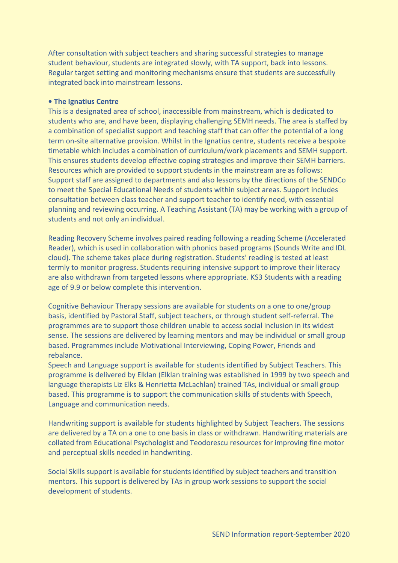After consultation with subject teachers and sharing successful strategies to manage student behaviour, students are integrated slowly, with TA support, back into lessons. Regular target setting and monitoring mechanisms ensure that students are successfully integrated back into mainstream lessons.

#### **• The Ignatius Centre**

This is a designated area of school, inaccessible from mainstream, which is dedicated to students who are, and have been, displaying challenging SEMH needs. The area is staffed by a combination of specialist support and teaching staff that can offer the potential of a long term on-site alternative provision. Whilst in the Ignatius centre, students receive a bespoke timetable which includes a combination of curriculum/work placements and SEMH support. This ensures students develop effective coping strategies and improve their SEMH barriers. Resources which are provided to support students in the mainstream are as follows: Support staff are assigned to departments and also lessons by the directions of the SENDCo to meet the Special Educational Needs of students within subject areas. Support includes consultation between class teacher and support teacher to identify need, with essential planning and reviewing occurring. A Teaching Assistant (TA) may be working with a group of students and not only an individual.

Reading Recovery Scheme involves paired reading following a reading Scheme (Accelerated Reader), which is used in collaboration with phonics based programs (Sounds Write and IDL cloud). The scheme takes place during registration. Students' reading is tested at least termly to monitor progress. Students requiring intensive support to improve their literacy are also withdrawn from targeted lessons where appropriate. KS3 Students with a reading age of 9.9 or below complete this intervention.

Cognitive Behaviour Therapy sessions are available for students on a one to one/group basis, identified by Pastoral Staff, subject teachers, or through student self-referral. The programmes are to support those children unable to access social inclusion in its widest sense. The sessions are delivered by learning mentors and may be individual or small group based. Programmes include Motivational Interviewing, Coping Power, Friends and rebalance.

Speech and Language support is available for students identified by Subject Teachers. This programme is delivered by Elklan (Elklan training was established in 1999 by two speech and language therapists Liz Elks & Henrietta McLachlan) trained TAs, individual or small group based. This programme is to support the communication skills of students with Speech, Language and communication needs.

Handwriting support is available for students highlighted by Subject Teachers. The sessions are delivered by a TA on a one to one basis in class or withdrawn. Handwriting materials are collated from Educational Psychologist and Teodorescu resources for improving fine motor and perceptual skills needed in handwriting.

Social Skills support is available for students identified by subject teachers and transition mentors. This support is delivered by TAs in group work sessions to support the social development of students.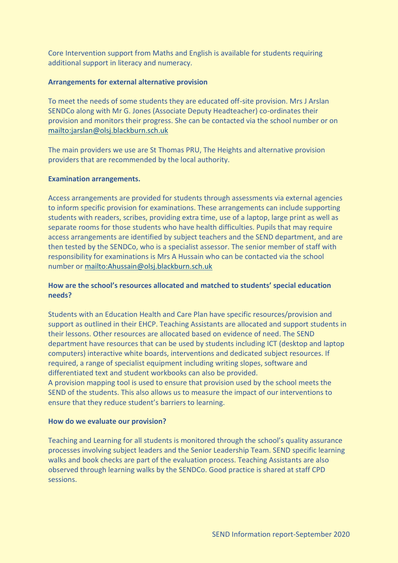Core Intervention support from Maths and English is available for students requiring additional support in literacy and numeracy.

#### **Arrangements for external alternative provision**

To meet the needs of some students they are educated off-site provision. Mrs J Arslan SENDCo along with Mr G. Jones (Associate Deputy Headteacher) co-ordinates their provision and monitors their progress. She can be contacted via the school number or on <mailto:jarslan@olsj.blackburn.sch.uk>

The main providers we use are St Thomas PRU, The Heights and alternative provision providers that are recommended by the local authority.

#### **Examination arrangements.**

Access arrangements are provided for students through assessments via external agencies to inform specific provision for examinations. These arrangements can include supporting students with readers, scribes, providing extra time, use of a laptop, large print as well as separate rooms for those students who have health difficulties. Pupils that may require access arrangements are identified by subject teachers and the SEND department, and are then tested by the SENDCo, who is a specialist assessor. The senior member of staff with responsibility for examinations is Mrs A Hussain who can be contacted via the school number or<mailto:Ahussain@olsj.blackburn.sch.uk>

#### **How are the school's resources allocated and matched to students' special education needs?**

Students with an Education Health and Care Plan have specific resources/provision and support as outlined in their EHCP. Teaching Assistants are allocated and support students in their lessons. Other resources are allocated based on evidence of need. The SEND department have resources that can be used by students including ICT (desktop and laptop computers) interactive white boards, interventions and dedicated subject resources. If required, a range of specialist equipment including writing slopes, software and differentiated text and student workbooks can also be provided.

A provision mapping tool is used to ensure that provision used by the school meets the SEND of the students. This also allows us to measure the impact of our interventions to ensure that they reduce student's barriers to learning.

#### **How do we evaluate our provision?**

Teaching and Learning for all students is monitored through the school's quality assurance processes involving subject leaders and the Senior Leadership Team. SEND specific learning walks and book checks are part of the evaluation process. Teaching Assistants are also observed through learning walks by the SENDCo. Good practice is shared at staff CPD sessions.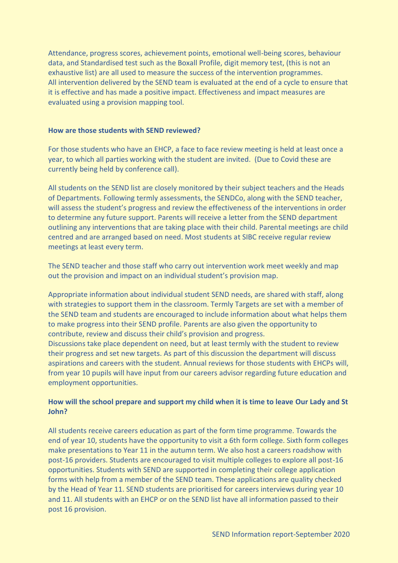Attendance, progress scores, achievement points, emotional well-being scores, behaviour data, and Standardised test such as the Boxall Profile, digit memory test, (this is not an exhaustive list) are all used to measure the success of the intervention programmes. All intervention delivered by the SEND team is evaluated at the end of a cycle to ensure that it is effective and has made a positive impact. Effectiveness and impact measures are evaluated using a provision mapping tool.

#### **How are those students with SEND reviewed?**

For those students who have an EHCP, a face to face review meeting is held at least once a year, to which all parties working with the student are invited. (Due to Covid these are currently being held by conference call).

All students on the SEND list are closely monitored by their subject teachers and the Heads of Departments. Following termly assessments, the SENDCo, along with the SEND teacher, will assess the student's progress and review the effectiveness of the interventions in order to determine any future support. Parents will receive a letter from the SEND department outlining any interventions that are taking place with their child. Parental meetings are child centred and are arranged based on need. Most students at SIBC receive regular review meetings at least every term.

The SEND teacher and those staff who carry out intervention work meet weekly and map out the provision and impact on an individual student's provision map.

Appropriate information about individual student SEND needs, are shared with staff, along with strategies to support them in the classroom. Termly Targets are set with a member of the SEND team and students are encouraged to include information about what helps them to make progress into their SEND profile. Parents are also given the opportunity to contribute, review and discuss their child's provision and progress.

Discussions take place dependent on need, but at least termly with the student to review their progress and set new targets. As part of this discussion the department will discuss aspirations and careers with the student. Annual reviews for those students with EHCPs will, from year 10 pupils will have input from our careers advisor regarding future education and employment opportunities.

#### **How will the school prepare and support my child when it is time to leave Our Lady and St John?**

All students receive careers education as part of the form time programme. Towards the end of year 10, students have the opportunity to visit a 6th form college. Sixth form colleges make presentations to Year 11 in the autumn term. We also host a careers roadshow with post-16 providers. Students are encouraged to visit multiple colleges to explore all post-16 opportunities. Students with SEND are supported in completing their college application forms with help from a member of the SEND team. These applications are quality checked by the Head of Year 11. SEND students are prioritised for careers interviews during year 10 and 11. All students with an EHCP or on the SEND list have all information passed to their post 16 provision.